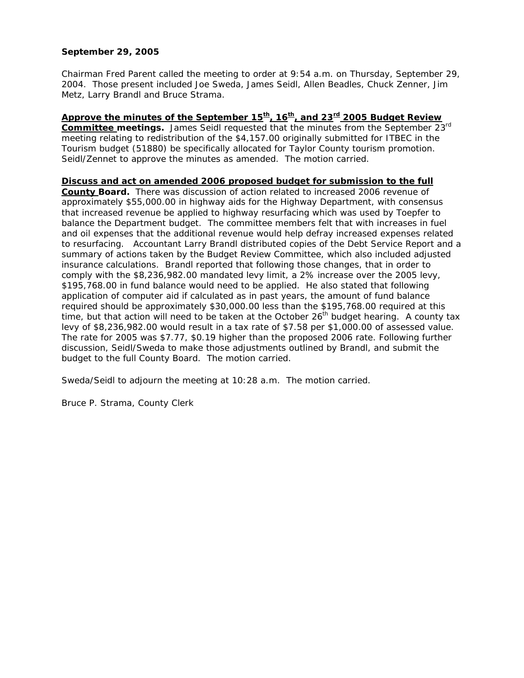## **September 29, 2005**

Chairman Fred Parent called the meeting to order at 9:54 a.m. on Thursday, September 29, 2004. Those present included Joe Sweda, James Seidl, Allen Beadles, Chuck Zenner, Jim Metz, Larry Brandl and Bruce Strama.

Approve the minutes of the September 15<sup>th</sup>, 16<sup>th</sup>, and 23<sup>rd</sup> 2005 Budget Review **Committee meetings.** James Seidl requested that the minutes from the September 23rd meeting relating to redistribution of the \$4,157.00 originally submitted for ITBEC in the Tourism budget (51880) be specifically allocated for Taylor County tourism promotion. Seidl/Zennet to approve the minutes as amended. The motion carried.

**Discuss and act on amended 2006 proposed budget for submission to the full County Board.** There was discussion of action related to increased 2006 revenue of approximately \$55,000.00 in highway aids for the Highway Department, with consensus that increased revenue be applied to highway resurfacing which was used by Toepfer to balance the Department budget. The committee members felt that with increases in fuel and oil expenses that the additional revenue would help defray increased expenses related to resurfacing. Accountant Larry Brandl distributed copies of the Debt Service Report and a summary of actions taken by the Budget Review Committee, which also included adjusted insurance calculations. Brandl reported that following those changes, that in order to comply with the \$8,236,982.00 mandated levy limit, a 2% increase over the 2005 levy, \$195,768.00 in fund balance would need to be applied. He also stated that following application of computer aid if calculated as in past years, the amount of fund balance required should be approximately \$30,000.00 less than the \$195,768.00 required at this time, but that action will need to be taken at the October  $26<sup>th</sup>$  budget hearing. A county tax levy of \$8,236,982.00 would result in a tax rate of \$7.58 per \$1,000.00 of assessed value. The rate for 2005 was \$7.77, \$0.19 higher than the proposed 2006 rate. Following further discussion, Seidl/Sweda to make those adjustments outlined by Brandl, and submit the budget to the full County Board. The motion carried.

Sweda/Seidl to adjourn the meeting at 10:28 a.m. The motion carried.

Bruce P. Strama, County Clerk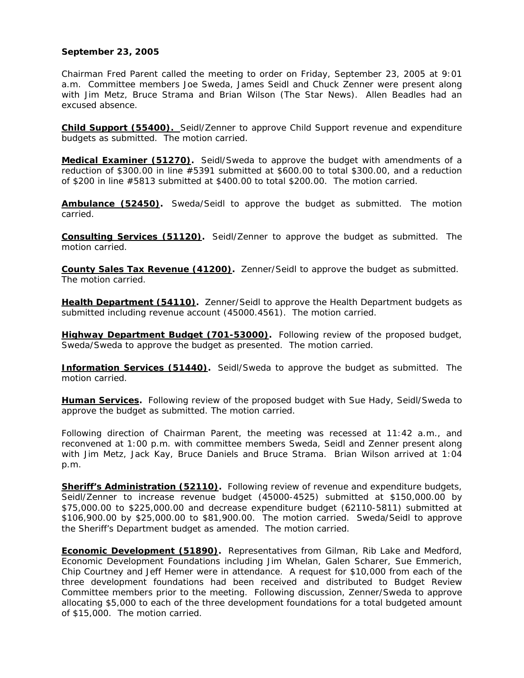## **September 23, 2005**

Chairman Fred Parent called the meeting to order on Friday, September 23, 2005 at 9:01 a.m. Committee members Joe Sweda, James Seidl and Chuck Zenner were present along with Jim Metz, Bruce Strama and Brian Wilson (The Star News). Allen Beadles had an excused absence.

**Child Support (55400).** Seidl/Zenner to approve Child Support revenue and expenditure budgets as submitted. The motion carried.

**Medical Examiner (51270).** Seidl/Sweda to approve the budget with amendments of a reduction of \$300.00 in line #5391 submitted at \$600.00 to total \$300.00, and a reduction of \$200 in line #5813 submitted at \$400.00 to total \$200.00. The motion carried.

**Ambulance (52450).** Sweda/Seidl to approve the budget as submitted. The motion carried.

**Consulting Services (51120).** Seidl/Zenner to approve the budget as submitted. The motion carried.

**County Sales Tax Revenue (41200).** Zenner/Seidl to approve the budget as submitted. The motion carried.

**Health Department (54110).** Zenner/Seidl to approve the Health Department budgets as submitted including revenue account (45000.4561). The motion carried.

**Highway Department Budget (701-53000).** Following review of the proposed budget, Sweda/Sweda to approve the budget as presented. The motion carried.

**Information Services (51440).** Seidl/Sweda to approve the budget as submitted. The motion carried.

**Human Services.** Following review of the proposed budget with Sue Hady, Seidl/Sweda to approve the budget as submitted. The motion carried.

Following direction of Chairman Parent, the meeting was recessed at 11:42 a.m., and reconvened at 1:00 p.m. with committee members Sweda, Seidl and Zenner present along with Jim Metz, Jack Kay, Bruce Daniels and Bruce Strama. Brian Wilson arrived at 1:04 p.m.

**Sheriff's Administration (52110)**. Following review of revenue and expenditure budgets, Seidl/Zenner to increase revenue budget (45000-4525) submitted at \$150,000.00 by \$75,000.00 to \$225,000.00 and decrease expenditure budget (62110-5811) submitted at \$106,900.00 by \$25,000.00 to \$81,900.00. The motion carried. Sweda/Seidl to approve the Sheriff's Department budget as amended. The motion carried.

**Economic Development (51890).** Representatives from Gilman, Rib Lake and Medford, Economic Development Foundations including Jim Whelan, Galen Scharer, Sue Emmerich, Chip Courtney and Jeff Hemer were in attendance. A request for \$10,000 from each of the three development foundations had been received and distributed to Budget Review Committee members prior to the meeting. Following discussion, Zenner/Sweda to approve allocating \$5,000 to each of the three development foundations for a total budgeted amount of \$15,000. The motion carried.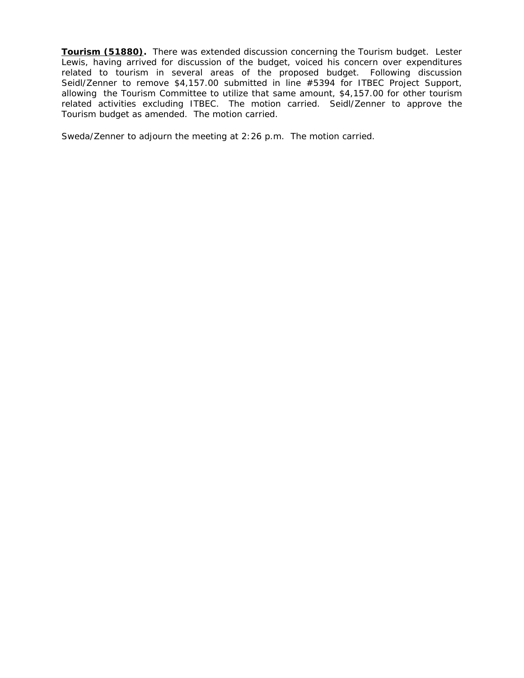**Tourism (51880).** There was extended discussion concerning the Tourism budget. Lester Lewis, having arrived for discussion of the budget, voiced his concern over expenditures related to tourism in several areas of the proposed budget. Following discussion Seidl/Zenner to remove \$4,157.00 submitted in line #5394 for ITBEC Project Support, allowing the Tourism Committee to utilize that same amount, \$4,157.00 for other tourism related activities excluding ITBEC. The motion carried. Seidl/Zenner to approve the Tourism budget as amended. The motion carried.

Sweda/Zenner to adjourn the meeting at 2:26 p.m. The motion carried.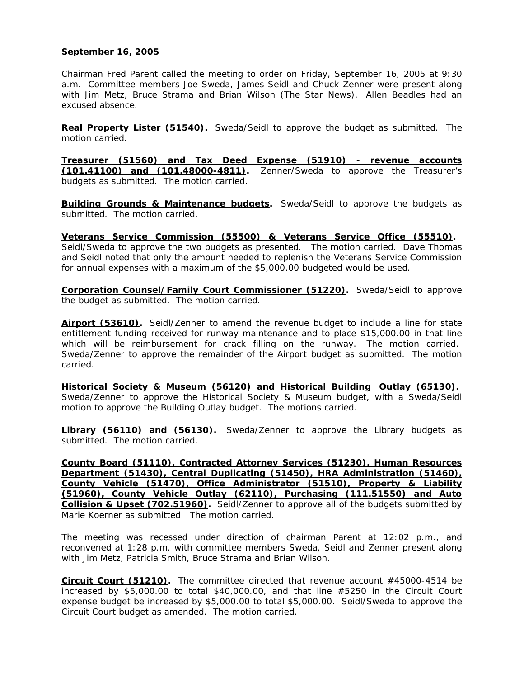## **September 16, 2005**

Chairman Fred Parent called the meeting to order on Friday, September 16, 2005 at 9:30 a.m. Committee members Joe Sweda, James Seidl and Chuck Zenner were present along with Jim Metz, Bruce Strama and Brian Wilson (The Star News). Allen Beadles had an excused absence.

**Real Property Lister (51540).** Sweda/Seidl to approve the budget as submitted. The motion carried.

**Treasurer (51560) and Tax Deed Expense (51910) - revenue accounts (101.41100) and (101.48000-4811).** Zenner/Sweda to approve the Treasurer's budgets as submitted. The motion carried.

**Building Grounds & Maintenance budgets.** Sweda/Seidl to approve the budgets as submitted. The motion carried.

**Veterans Service Commission (55500) & Veterans Service Office (55510).**  Seidl/Sweda to approve the two budgets as presented. The motion carried. Dave Thomas and Seidl noted that only the amount needed to replenish the Veterans Service Commission for annual expenses with a maximum of the \$5,000.00 budgeted would be used.

**Corporation Counsel/Family Court Commissioner (51220).** Sweda/Seidl to approve the budget as submitted. The motion carried.

**Airport (53610).** Seidl/Zenner to amend the revenue budget to include a line for state entitlement funding received for runway maintenance and to place \$15,000.00 in that line which will be reimbursement for crack filling on the runway. The motion carried. Sweda/Zenner to approve the remainder of the Airport budget as submitted. The motion carried.

**Historical Society & Museum (56120) and Historical Building Outlay (65130).**  Sweda/Zenner to approve the Historical Society & Museum budget, with a Sweda/Seidl motion to approve the Building Outlay budget. The motions carried.

**Library (56110) and (56130).** Sweda/Zenner to approve the Library budgets as submitted. The motion carried.

**County Board (51110), Contracted Attorney Services (51230), Human Resources Department (51430), Central Duplicating (51450), HRA Administration (51460), County Vehicle (51470), Office Administrator (51510), Property & Liability (51960), County Vehicle Outlay (62110), Purchasing (111.51550) and Auto Collision & Upset (702.51960).** Seidl/Zenner to approve all of the budgets submitted by Marie Koerner as submitted. The motion carried.

The meeting was recessed under direction of chairman Parent at 12:02 p.m., and reconvened at 1:28 p.m. with committee members Sweda, Seidl and Zenner present along with Jim Metz, Patricia Smith, Bruce Strama and Brian Wilson.

**Circuit Court (51210).** The committee directed that revenue account #45000-4514 be increased by \$5,000.00 to total \$40,000.00, and that line #5250 in the Circuit Court expense budget be increased by \$5,000.00 to total \$5,000.00. Seidl/Sweda to approve the Circuit Court budget as amended. The motion carried.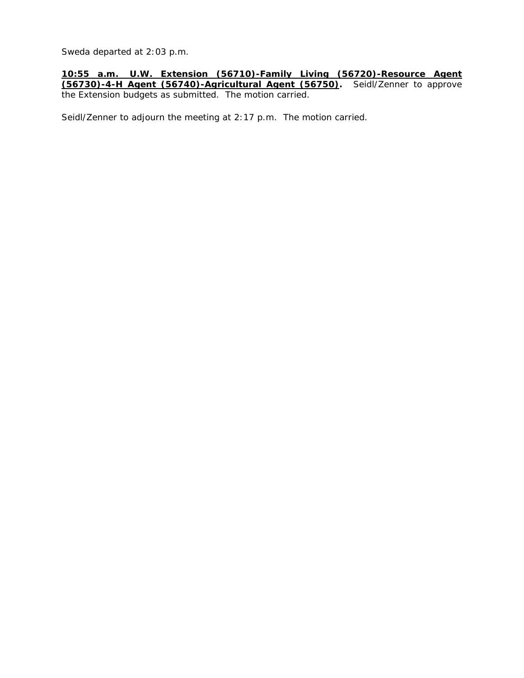Sweda departed at 2:03 p.m.

**10:55 a.m. U.W. Extension (56710)-Family Living (56720)-Resource Agent (56730)-4-H Agent (56740)-Agricultural Agent (56750).** Seidl/Zenner to approve the Extension budgets as submitted. The motion carried.

Seidl/Zenner to adjourn the meeting at 2:17 p.m. The motion carried.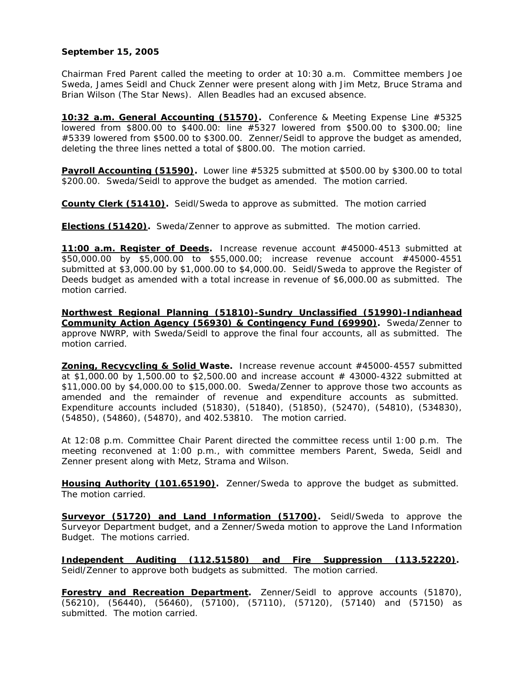## **September 15, 2005**

Chairman Fred Parent called the meeting to order at 10:30 a.m. Committee members Joe Sweda, James Seidl and Chuck Zenner were present along with Jim Metz, Bruce Strama and Brian Wilson (The Star News). Allen Beadles had an excused absence.

**10:32 a.m. General Accounting (51570).** Conference & Meeting Expense Line #5325 lowered from \$800.00 to \$400.00: line #5327 lowered from \$500.00 to \$300.00; line #5339 lowered from \$500.00 to \$300.00. Zenner/Seidl to approve the budget as amended, deleting the three lines netted a total of \$800.00. The motion carried.

**Payroll Accounting (51590).** Lower line #5325 submitted at \$500.00 by \$300.00 to total \$200.00. Sweda/Seidl to approve the budget as amended. The motion carried.

**County Clerk (51410).** Seidl/Sweda to approve as submitted. The motion carried

**Elections (51420).** Sweda/Zenner to approve as submitted. The motion carried.

**11:00 a.m. Register of Deeds.** Increase revenue account #45000-4513 submitted at \$50,000.00 by \$5,000.00 to \$55,000.00; increase revenue account #45000-4551 submitted at \$3,000.00 by \$1,000.00 to \$4,000.00. Seidl/Sweda to approve the Register of Deeds budget as amended with a total increase in revenue of \$6,000.00 as submitted. The motion carried.

**Northwest Regional Planning (51810)-Sundry Unclassified (51990)-Indianhead Community Action Agency (56930) & Contingency Fund (69990).** Sweda/Zenner to approve NWRP, with Sweda/Seidl to approve the final four accounts, all as submitted. The motion carried.

**Zoning, Recycycling & Solid Waste.** Increase revenue account #45000-4557 submitted at \$1,000.00 by 1,500.00 to \$2,500.00 and increase account # 43000-4322 submitted at \$11,000.00 by \$4,000.00 to \$15,000.00. Sweda/Zenner to approve those two accounts as amended and the remainder of revenue and expenditure accounts as submitted. Expenditure accounts included (51830), (51840), (51850), (52470), (54810), (534830), (54850), (54860), (54870), and 402.53810. The motion carried.

At 12:08 p.m. Committee Chair Parent directed the committee recess until 1:00 p.m. The meeting reconvened at 1:00 p.m., with committee members Parent, Sweda, Seidl and Zenner present along with Metz, Strama and Wilson.

**Housing Authority (101.65190).** Zenner/Sweda to approve the budget as submitted. The motion carried.

**Surveyor (51720) and Land Information (51700)**. Seidl/Sweda to approve the Surveyor Department budget, and a Zenner/Sweda motion to approve the Land Information Budget. The motions carried.

**Independent Auditing (112.51580) and Fire Suppression (113.52220).**  Seidl/Zenner to approve both budgets as submitted. The motion carried.

**Forestry and Recreation Department.** Zenner/Seidl to approve accounts (51870), (56210), (56440), (56460), (57100), (57110), (57120), (57140) and (57150) as submitted. The motion carried.